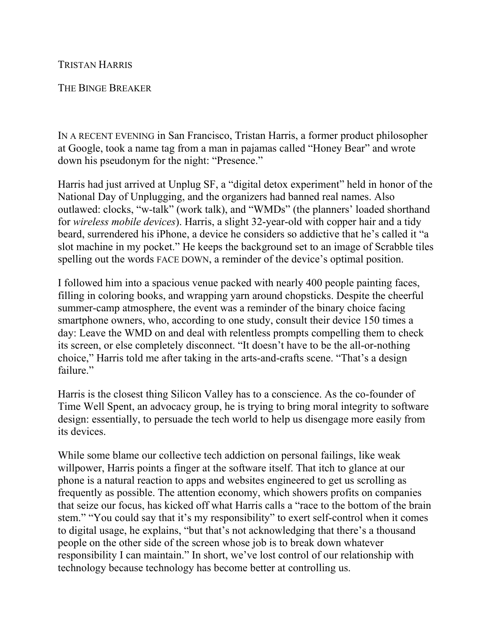## TRISTAN HARRIS

## THE BINGE BREAKER

IN A RECENT EVENING in San Francisco, Tristan Harris, a former product philosopher at Google, took a name tag from a man in pajamas called "Honey Bear" and wrote down his pseudonym for the night: "Presence."

Harris had just arrived at Unplug SF, a "digital detox experiment" held in honor of the National Day of Unplugging, and the organizers had banned real names. Also outlawed: clocks, "w-talk" (work talk), and "WMDs" (the planners' loaded shorthand for *wireless mobile devices*). Harris, a slight 32-year-old with copper hair and a tidy beard, surrendered his iPhone, a device he considers so addictive that he's called it "a slot machine in my pocket." He keeps the background set to an image of Scrabble tiles spelling out the words FACE DOWN, a reminder of the device's optimal position.

I followed him into a spacious venue packed with nearly 400 people painting faces, filling in coloring books, and wrapping yarn around chopsticks. Despite the cheerful summer-camp atmosphere, the event was a reminder of the binary choice facing smartphone owners, who, according to one study, consult their device 150 times a day: Leave the WMD on and deal with relentless prompts compelling them to check its screen, or else completely disconnect. "It doesn't have to be the all-or-nothing choice," Harris told me after taking in the arts-and-crafts scene. "That's a design failure."

Harris is the closest thing Silicon Valley has to a conscience. As the co-founder of Time Well Spent, an advocacy group, he is trying to bring moral integrity to software design: essentially, to persuade the tech world to help us disengage more easily from its devices.

While some blame our collective tech addiction on personal failings, like weak willpower, Harris points a finger at the software itself. That itch to glance at our phone is a natural reaction to apps and websites engineered to get us scrolling as frequently as possible. The attention economy, which showers profits on companies that seize our focus, has kicked off what Harris calls a "race to the bottom of the brain stem." "You could say that it's my responsibility" to exert self-control when it comes to digital usage, he explains, "but that's not acknowledging that there's a thousand people on the other side of the screen whose job is to break down whatever responsibility I can maintain." In short, we've lost control of our relationship with technology because technology has become better at controlling us.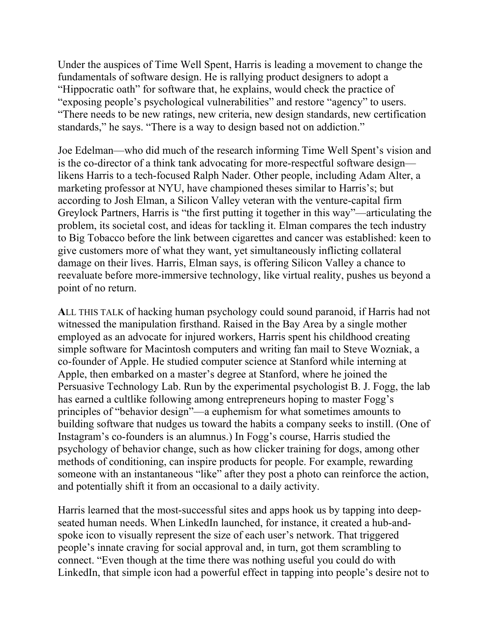Under the auspices of Time Well Spent, Harris is leading a movement to change the fundamentals of software design. He is rallying product designers to adopt a "Hippocratic oath" for software that, he explains, would check the practice of "exposing people's psychological vulnerabilities" and restore "agency" to users. "There needs to be new ratings, new criteria, new design standards, new certification standards," he says. "There is a way to design based not on addiction."

Joe Edelman—who did much of the research informing Time Well Spent's vision and is the co-director of a think tank advocating for more-respectful software design likens Harris to a tech-focused Ralph Nader. Other people, including Adam Alter, a marketing professor at NYU, have championed theses similar to Harris's; but according to Josh Elman, a Silicon Valley veteran with the venture-capital firm Greylock Partners, Harris is "the first putting it together in this way"—articulating the problem, its societal cost, and ideas for tackling it. Elman compares the tech industry to Big Tobacco before the link between cigarettes and cancer was established: keen to give customers more of what they want, yet simultaneously inflicting collateral damage on their lives. Harris, Elman says, is offering Silicon Valley a chance to reevaluate before more-immersive technology, like virtual reality, pushes us beyond a point of no return.

**A**LL THIS TALK of hacking human psychology could sound paranoid, if Harris had not witnessed the manipulation firsthand. Raised in the Bay Area by a single mother employed as an advocate for injured workers, Harris spent his childhood creating simple software for Macintosh computers and writing fan mail to Steve Wozniak, a co-founder of Apple. He studied computer science at Stanford while interning at Apple, then embarked on a master's degree at Stanford, where he joined the Persuasive Technology Lab. Run by the experimental psychologist B. J. Fogg, the lab has earned a cultlike following among entrepreneurs hoping to master Fogg's principles of "behavior design"—a euphemism for what sometimes amounts to building software that nudges us toward the habits a company seeks to instill. (One of Instagram's co-founders is an alumnus.) In Fogg's course, Harris studied the psychology of behavior change, such as how clicker training for dogs, among other methods of conditioning, can inspire products for people. For example, rewarding someone with an instantaneous "like" after they post a photo can reinforce the action, and potentially shift it from an occasional to a daily activity.

Harris learned that the most-successful sites and apps hook us by tapping into deepseated human needs. When LinkedIn launched, for instance, it created a hub-andspoke icon to visually represent the size of each user's network. That triggered people's innate craving for social approval and, in turn, got them scrambling to connect. "Even though at the time there was nothing useful you could do with LinkedIn, that simple icon had a powerful effect in tapping into people's desire not to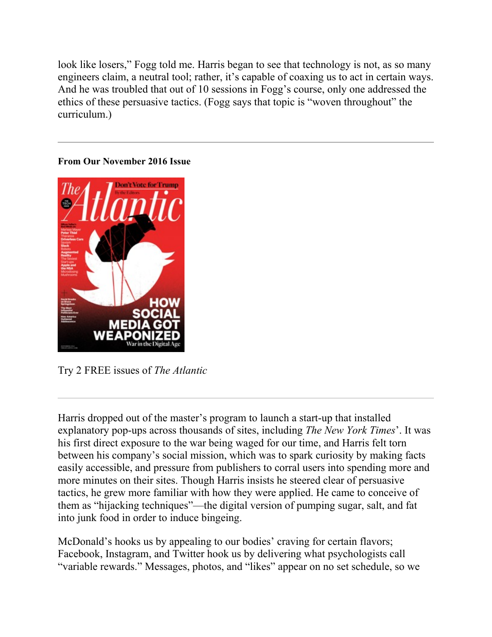look like losers," Fogg told me. Harris began to see that technology is not, as so many engineers claim, a neutral tool; rather, it's capable of coaxing us to act in certain ways. And he was troubled that out of 10 sessions in Fogg's course, only one addressed the ethics of these persuasive tactics. (Fogg says that topic is "woven throughout" the curriculum.)

## **From Our November 2016 Issue**



Try 2 FREE issues of *The Atlantic*

Harris dropped out of the master's program to launch a start-up that installed explanatory pop-ups across thousands of sites, including *The New York Times*'. It was his first direct exposure to the war being waged for our time, and Harris felt torn between his company's social mission, which was to spark curiosity by making facts easily accessible, and pressure from publishers to corral users into spending more and more minutes on their sites. Though Harris insists he steered clear of persuasive tactics, he grew more familiar with how they were applied. He came to conceive of them as "hijacking techniques"—the digital version of pumping sugar, salt, and fat into junk food in order to induce bingeing.

McDonald's hooks us by appealing to our bodies' craving for certain flavors; Facebook, Instagram, and Twitter hook us by delivering what psychologists call "variable rewards." Messages, photos, and "likes" appear on no set schedule, so we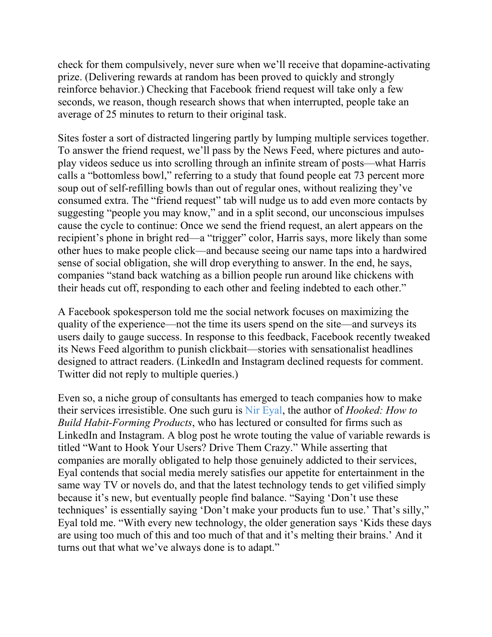check for them compulsively, never sure when we'll receive that dopamine-activating prize. (Delivering rewards at random has been proved to quickly and strongly reinforce behavior.) Checking that Facebook friend request will take only a few seconds, we reason, though research shows that when interrupted, people take an average of 25 minutes to return to their original task.

Sites foster a sort of distracted lingering partly by lumping multiple services together. To answer the friend request, we'll pass by the News Feed, where pictures and autoplay videos seduce us into scrolling through an infinite stream of posts—what Harris calls a "bottomless bowl," referring to a study that found people eat 73 percent more soup out of self-refilling bowls than out of regular ones, without realizing they've consumed extra. The "friend request" tab will nudge us to add even more contacts by suggesting "people you may know," and in a split second, our unconscious impulses cause the cycle to continue: Once we send the friend request, an alert appears on the recipient's phone in bright red—a "trigger" color, Harris says, more likely than some other hues to make people click—and because seeing our name taps into a hardwired sense of social obligation, she will drop everything to answer. In the end, he says, companies "stand back watching as a billion people run around like chickens with their heads cut off, responding to each other and feeling indebted to each other."

A Facebook spokesperson told me the social network focuses on maximizing the quality of the experience—not the time its users spend on the site—and surveys its users daily to gauge success. In response to this feedback, Facebook recently tweaked its News Feed algorithm to punish clickbait—stories with sensationalist headlines designed to attract readers. (LinkedIn and Instagram declined requests for comment. Twitter did not reply to multiple queries.)

Even so, a niche group of consultants has emerged to teach companies how to make their services irresistible. One such guru is [Nir Eyal,](https://www.theatlantic.com/technology/archive/2016/08/the-q-tip-effect/498053/) the author of *Hooked: How to Build Habit-Forming Products*, who has lectured or consulted for firms such as LinkedIn and Instagram. A blog post he wrote touting the value of variable rewards is titled "Want to Hook Your Users? Drive Them Crazy." While asserting that companies are morally obligated to help those genuinely addicted to their services, Eyal contends that social media merely satisfies our appetite for entertainment in the same way TV or novels do, and that the latest technology tends to get vilified simply because it's new, but eventually people find balance. "Saying 'Don't use these techniques' is essentially saying 'Don't make your products fun to use.' That's silly," Eyal told me. "With every new technology, the older generation says 'Kids these days are using too much of this and too much of that and it's melting their brains.' And it turns out that what we've always done is to adapt."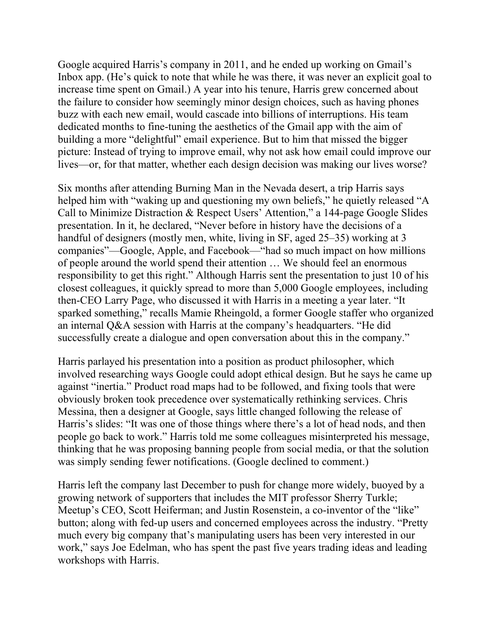Google acquired Harris's company in 2011, and he ended up working on Gmail's Inbox app. (He's quick to note that while he was there, it was never an explicit goal to increase time spent on Gmail.) A year into his tenure, Harris grew concerned about the failure to consider how seemingly minor design choices, such as having phones buzz with each new email, would cascade into billions of interruptions. His team dedicated months to fine-tuning the aesthetics of the Gmail app with the aim of building a more "delightful" email experience. But to him that missed the bigger picture: Instead of trying to improve email, why not ask how email could improve our lives—or, for that matter, whether each design decision was making our lives worse?

Six months after attending Burning Man in the Nevada desert, a trip Harris says helped him with "waking up and questioning my own beliefs," he quietly released "A Call to Minimize Distraction & Respect Users' Attention," a 144-page Google Slides presentation. In it, he declared, "Never before in history have the decisions of a handful of designers (mostly men, white, living in SF, aged 25–35) working at 3 companies"—Google, Apple, and Facebook—"had so much impact on how millions of people around the world spend their attention … We should feel an enormous responsibility to get this right." Although Harris sent the presentation to just 10 of his closest colleagues, it quickly spread to more than 5,000 Google employees, including then-CEO Larry Page, who discussed it with Harris in a meeting a year later. "It sparked something," recalls Mamie Rheingold, a former Google staffer who organized an internal Q&A session with Harris at the company's headquarters. "He did successfully create a dialogue and open conversation about this in the company."

Harris parlayed his presentation into a position as product philosopher, which involved researching ways Google could adopt ethical design. But he says he came up against "inertia." Product road maps had to be followed, and fixing tools that were obviously broken took precedence over systematically rethinking services. Chris Messina, then a designer at Google, says little changed following the release of Harris's slides: "It was one of those things where there's a lot of head nods, and then people go back to work." Harris told me some colleagues misinterpreted his message, thinking that he was proposing banning people from social media, or that the solution was simply sending fewer notifications. (Google declined to comment.)

Harris left the company last December to push for change more widely, buoyed by a growing network of supporters that includes the MIT professor Sherry Turkle; Meetup's CEO, Scott Heiferman; and Justin Rosenstein, a co-inventor of the "like" button; along with fed-up users and concerned employees across the industry. "Pretty much every big company that's manipulating users has been very interested in our work," says Joe Edelman, who has spent the past five years trading ideas and leading workshops with Harris.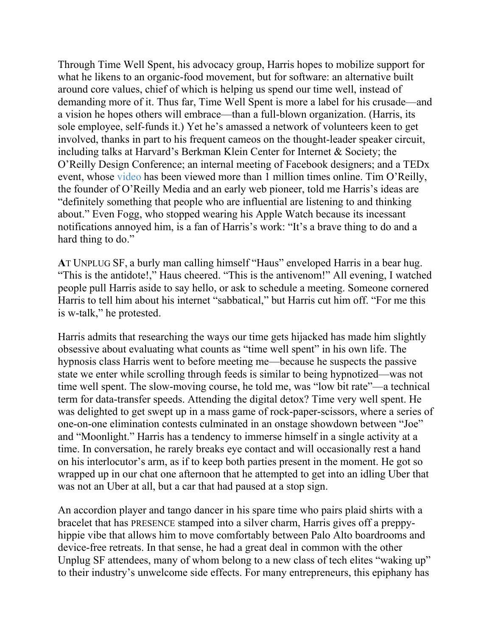Through Time Well Spent, his advocacy group, Harris hopes to mobilize support for what he likens to an organic-food movement, but for software: an alternative built around core values, chief of which is helping us spend our time well, instead of demanding more of it. Thus far, Time Well Spent is more a label for his crusade—and a vision he hopes others will embrace—than a full-blown organization. (Harris, its sole employee, self-funds it.) Yet he's amassed a network of volunteers keen to get involved, thanks in part to his frequent cameos on the thought-leader speaker circuit, including talks at Harvard's Berkman Klein Center for Internet & Society; the O'Reilly Design Conference; an internal meeting of Facebook designers; and a TEDx event, whose [video](https://www.ted.com/talks/tristan_harris_how_better_tech_could_protect_us_from_distraction?language=en) has been viewed more than 1 million times online. Tim O'Reilly, the founder of O'Reilly Media and an early web pioneer, told me Harris's ideas are "definitely something that people who are influential are listening to and thinking about." Even Fogg, who stopped wearing his Apple Watch because its incessant notifications annoyed him, is a fan of Harris's work: "It's a brave thing to do and a hard thing to do."

**A**T UNPLUG SF, a burly man calling himself "Haus" enveloped Harris in a bear hug. "This is the antidote!," Haus cheered. "This is the antivenom!" All evening, I watched people pull Harris aside to say hello, or ask to schedule a meeting. Someone cornered Harris to tell him about his internet "sabbatical," but Harris cut him off. "For me this is w-talk," he protested.

Harris admits that researching the ways our time gets hijacked has made him slightly obsessive about evaluating what counts as "time well spent" in his own life. The hypnosis class Harris went to before meeting me—because he suspects the passive state we enter while scrolling through feeds is similar to being hypnotized—was not time well spent. The slow-moving course, he told me, was "low bit rate"—a technical term for data-transfer speeds. Attending the digital detox? Time very well spent. He was delighted to get swept up in a mass game of rock-paper-scissors, where a series of one-on-one elimination contests culminated in an onstage showdown between "Joe" and "Moonlight." Harris has a tendency to immerse himself in a single activity at a time. In conversation, he rarely breaks eye contact and will occasionally rest a hand on his interlocutor's arm, as if to keep both parties present in the moment. He got so wrapped up in our chat one afternoon that he attempted to get into an idling Uber that was not an Uber at all, but a car that had paused at a stop sign.

An accordion player and tango dancer in his spare time who pairs plaid shirts with a bracelet that has PRESENCE stamped into a silver charm, Harris gives off a preppyhippie vibe that allows him to move comfortably between Palo Alto boardrooms and device-free retreats. In that sense, he had a great deal in common with the other Unplug SF attendees, many of whom belong to a new class of tech elites "waking up" to their industry's unwelcome side effects. For many entrepreneurs, this epiphany has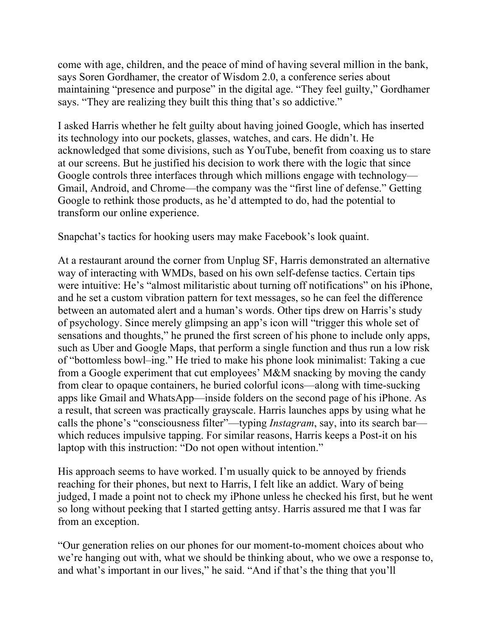come with age, children, and the peace of mind of having several million in the bank, says Soren Gordhamer, the creator of Wisdom 2.0, a conference series about maintaining "presence and purpose" in the digital age. "They feel guilty," Gordhamer says. "They are realizing they built this thing that's so addictive."

I asked Harris whether he felt guilty about having joined Google, which has inserted its technology into our pockets, glasses, watches, and cars. He didn't. He acknowledged that some divisions, such as YouTube, benefit from coaxing us to stare at our screens. But he justified his decision to work there with the logic that since Google controls three interfaces through which millions engage with technology— Gmail, Android, and Chrome—the company was the "first line of defense." Getting Google to rethink those products, as he'd attempted to do, had the potential to transform our online experience.

Snapchat's tactics for hooking users may make Facebook's look quaint.

At a restaurant around the corner from Unplug SF, Harris demonstrated an alternative way of interacting with WMDs, based on his own self-defense tactics. Certain tips were intuitive: He's "almost militaristic about turning off notifications" on his iPhone, and he set a custom vibration pattern for text messages, so he can feel the difference between an automated alert and a human's words. Other tips drew on Harris's study of psychology. Since merely glimpsing an app's icon will "trigger this whole set of sensations and thoughts," he pruned the first screen of his phone to include only apps, such as Uber and Google Maps, that perform a single function and thus run a low risk of "bottomless bowl–ing." He tried to make his phone look minimalist: Taking a cue from a Google experiment that cut employees' M&M snacking by moving the candy from clear to opaque containers, he buried colorful icons—along with time-sucking apps like Gmail and WhatsApp—inside folders on the second page of his iPhone. As a result, that screen was practically grayscale. Harris launches apps by using what he calls the phone's "consciousness filter"—typing *Instagram*, say, into its search bar which reduces impulsive tapping. For similar reasons, Harris keeps a Post-it on his laptop with this instruction: "Do not open without intention."

His approach seems to have worked. I'm usually quick to be annoyed by friends reaching for their phones, but next to Harris, I felt like an addict. Wary of being judged, I made a point not to check my iPhone unless he checked his first, but he went so long without peeking that I started getting antsy. Harris assured me that I was far from an exception.

"Our generation relies on our phones for our moment-to-moment choices about who we're hanging out with, what we should be thinking about, who we owe a response to, and what's important in our lives," he said. "And if that's the thing that you'll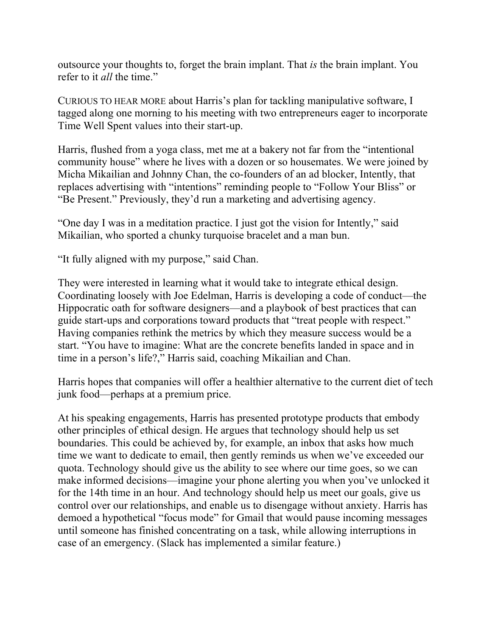outsource your thoughts to, forget the brain implant. That *is* the brain implant. You refer to it *all* the time."

CURIOUS TO HEAR MORE about Harris's plan for tackling manipulative software, I tagged along one morning to his meeting with two entrepreneurs eager to incorporate Time Well Spent values into their start-up.

Harris, flushed from a yoga class, met me at a bakery not far from the "intentional community house" where he lives with a dozen or so housemates. We were joined by Micha Mikailian and Johnny Chan, the co-founders of an ad blocker, Intently, that replaces advertising with "intentions" reminding people to "Follow Your Bliss" or "Be Present." Previously, they'd run a marketing and advertising agency.

"One day I was in a meditation practice. I just got the vision for Intently," said Mikailian, who sported a chunky turquoise bracelet and a man bun.

"It fully aligned with my purpose," said Chan.

They were interested in learning what it would take to integrate ethical design. Coordinating loosely with Joe Edelman, Harris is developing a code of conduct—the Hippocratic oath for software designers—and a playbook of best practices that can guide start-ups and corporations toward products that "treat people with respect." Having companies rethink the metrics by which they measure success would be a start. "You have to imagine: What are the concrete benefits landed in space and in time in a person's life?," Harris said, coaching Mikailian and Chan.

Harris hopes that companies will offer a healthier alternative to the current diet of tech junk food—perhaps at a premium price.

At his speaking engagements, Harris has presented prototype products that embody other principles of ethical design. He argues that technology should help us set boundaries. This could be achieved by, for example, an inbox that asks how much time we want to dedicate to email, then gently reminds us when we've exceeded our quota. Technology should give us the ability to see where our time goes, so we can make informed decisions—imagine your phone alerting you when you've unlocked it for the 14th time in an hour. And technology should help us meet our goals, give us control over our relationships, and enable us to disengage without anxiety. Harris has demoed a hypothetical "focus mode" for Gmail that would pause incoming messages until someone has finished concentrating on a task, while allowing interruptions in case of an emergency. (Slack has implemented a similar feature.)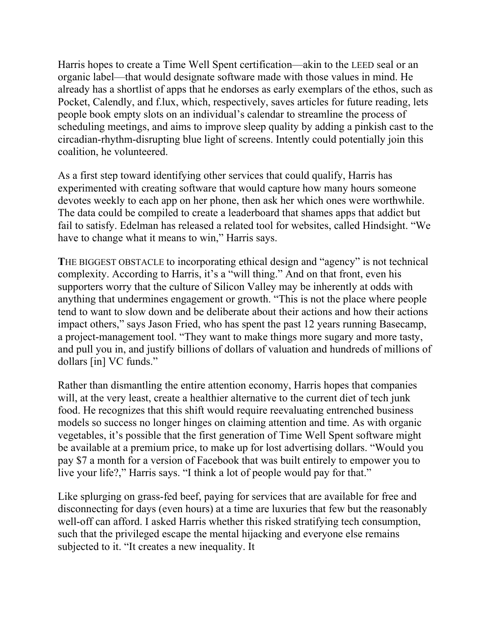Harris hopes to create a Time Well Spent certification—akin to the LEED seal or an organic label—that would designate software made with those values in mind. He already has a shortlist of apps that he endorses as early exemplars of the ethos, such as Pocket, Calendly, and f.lux, which, respectively, saves articles for future reading, lets people book empty slots on an individual's calendar to streamline the process of scheduling meetings, and aims to improve sleep quality by adding a pinkish cast to the circadian-rhythm-disrupting blue light of screens. Intently could potentially join this coalition, he volunteered.

As a first step toward identifying other services that could qualify, Harris has experimented with creating software that would capture how many hours someone devotes weekly to each app on her phone, then ask her which ones were worthwhile. The data could be compiled to create a leaderboard that shames apps that addict but fail to satisfy. Edelman has released a related tool for websites, called Hindsight. "We have to change what it means to win," Harris says.

**T**HE BIGGEST OBSTACLE to incorporating ethical design and "agency" is not technical complexity. According to Harris, it's a "will thing." And on that front, even his supporters worry that the culture of Silicon Valley may be inherently at odds with anything that undermines engagement or growth. "This is not the place where people tend to want to slow down and be deliberate about their actions and how their actions impact others," says Jason Fried, who has spent the past 12 years running Basecamp, a project-management tool. "They want to make things more sugary and more tasty, and pull you in, and justify billions of dollars of valuation and hundreds of millions of dollars [in] VC funds."

Rather than dismantling the entire attention economy, Harris hopes that companies will, at the very least, create a healthier alternative to the current diet of tech junk food. He recognizes that this shift would require reevaluating entrenched business models so success no longer hinges on claiming attention and time. As with organic vegetables, it's possible that the first generation of Time Well Spent software might be available at a premium price, to make up for lost advertising dollars. "Would you pay \$7 a month for a version of Facebook that was built entirely to empower you to live your life?," Harris says. "I think a lot of people would pay for that."

Like splurging on grass-fed beef, paying for services that are available for free and disconnecting for days (even hours) at a time are luxuries that few but the reasonably well-off can afford. I asked Harris whether this risked stratifying tech consumption, such that the privileged escape the mental hijacking and everyone else remains subjected to it. "It creates a new inequality. It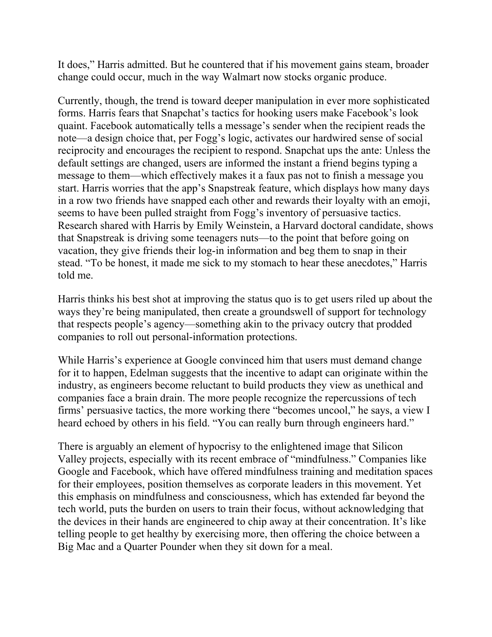It does," Harris admitted. But he countered that if his movement gains steam, broader change could occur, much in the way Walmart now stocks organic produce.

Currently, though, the trend is toward deeper manipulation in ever more sophisticated forms. Harris fears that Snapchat's tactics for hooking users make Facebook's look quaint. Facebook automatically tells a message's sender when the recipient reads the note—a design choice that, per Fogg's logic, activates our hardwired sense of social reciprocity and encourages the recipient to respond. Snapchat ups the ante: Unless the default settings are changed, users are informed the instant a friend begins typing a message to them—which effectively makes it a faux pas not to finish a message you start. Harris worries that the app's Snapstreak feature, which displays how many days in a row two friends have snapped each other and rewards their loyalty with an emoji, seems to have been pulled straight from Fogg's inventory of persuasive tactics. Research shared with Harris by Emily Weinstein, a Harvard doctoral candidate, shows that Snapstreak is driving some teenagers nuts—to the point that before going on vacation, they give friends their log-in information and beg them to snap in their stead. "To be honest, it made me sick to my stomach to hear these anecdotes," Harris told me.

Harris thinks his best shot at improving the status quo is to get users riled up about the ways they're being manipulated, then create a groundswell of support for technology that respects people's agency—something akin to the privacy outcry that prodded companies to roll out personal-information protections.

While Harris's experience at Google convinced him that users must demand change for it to happen, Edelman suggests that the incentive to adapt can originate within the industry, as engineers become reluctant to build products they view as unethical and companies face a brain drain. The more people recognize the repercussions of tech firms' persuasive tactics, the more working there "becomes uncool," he says, a view I heard echoed by others in his field. "You can really burn through engineers hard."

There is arguably an element of hypocrisy to the enlightened image that Silicon Valley projects, especially with its recent embrace of "mindfulness." Companies like Google and Facebook, which have offered mindfulness training and meditation spaces for their employees, position themselves as corporate leaders in this movement. Yet this emphasis on mindfulness and consciousness, which has extended far beyond the tech world, puts the burden on users to train their focus, without acknowledging that the devices in their hands are engineered to chip away at their concentration. It's like telling people to get healthy by exercising more, then offering the choice between a Big Mac and a Quarter Pounder when they sit down for a meal.